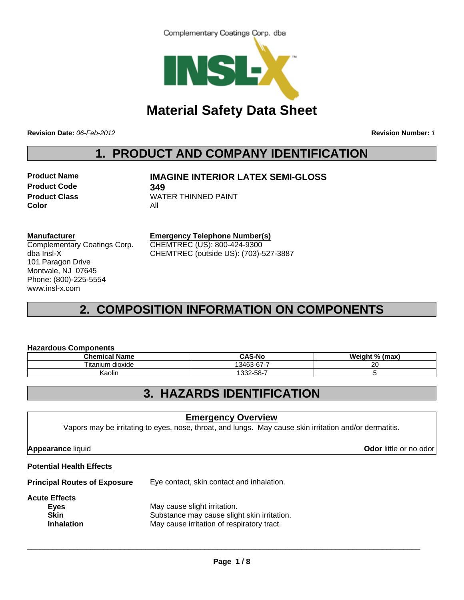



# **Material Safety Data Sheet**

**Revision Date:** *06-Feb-2012* **Revision Number:** *1*

# **1. PRODUCT AND COMPANY IDENTIFICATION**

**Product Code 349 Color** All

**Product Name IMAGINE INTERIOR LATEX SEMI-GLOSS**

**Product Class WATER THINNED PAINT** 

### **Manufacturer**

Complementary Coatings Corp. dba Insl-X 101 Paragon Drive Montvale, NJ 07645 Phone: (800)-225-5554 www.insl-x.com

**Emergency Telephone Number(s)** CHEMTREC (US): 800-424-9300 CHEMTREC (outside US): (703)-527-3887

# **2. COMPOSITION INFORMATION ON COMPONENTS**

### **Hazardous Components**

|  | Chemical Name      | <b>CAS-N</b> c | Weight % (max) |
|--|--------------------|----------------|----------------|
|  | dioxide<br>itanium | 13463-67-7     | ററ<br>∠∪       |
|  | Kaolin             | 1332-58-7      |                |

# **3. HAZARDS IDENTIFICATION**

## **Emergency Overview**

Vapors may be irritating to eyes, nose, throat, and lungs. May cause skin irritation and/or dermatitis.

**Appearance** liquid **Odor** little or no odor

### **Potential Health Effects**

**Principal Routes of Exposure** Eye contact, skin contact and inhalation.

#### **Acute Effects**

| -----------       |                                             |  |
|-------------------|---------------------------------------------|--|
| Eyes              | May cause slight irritation.                |  |
| <b>Skin</b>       | Substance may cause slight skin irritation. |  |
| <b>Inhalation</b> | May cause irritation of respiratory tract.  |  |
|                   |                                             |  |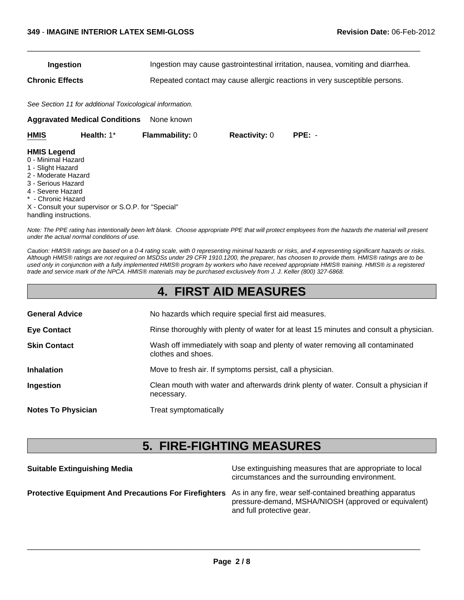| Ingestion              | Ingestion may cause gastrointestinal irritation, nausea, vomiting and diarrhea. |
|------------------------|---------------------------------------------------------------------------------|
| <b>Chronic Effects</b> | Repeated contact may cause allergic reactions in very susceptible persons.      |

 $\Box$ 

*See Section 11 for additional Toxicological information.*

**Aggravated Medical Conditions** None known

| HMIS                                                          | Health: $1^*$ | <b>Flammability: 0</b> | <b>Reactivity: 0</b> | $PPE: -$ |
|---------------------------------------------------------------|---------------|------------------------|----------------------|----------|
| <b>HMIS Legend</b><br>0 - Minimal Hazard<br>1 - Slight Hazard |               |                        |                      |          |

- 2 Moderate Hazard
- 3 Serious Hazard
- 4 Severe Hazard
- \* Chronic Hazard

X - Consult your supervisor or S.O.P. for "Special" handling instructions.

*Note: The PPE rating has intentionally been left blank. Choose appropriate PPE that will protect employees from the hazards the material will present under the actual normal conditions of use.*

*Caution: HMIS® ratings are based on a 0-4 rating scale, with 0 representing minimal hazards or risks, and 4 representing significant hazards or risks. Although HMIS® ratings are not required on MSDSs under 29 CFR 1910.1200, the preparer, has choosen to provide them. HMIS® ratings are to be used only in conjunction with a fully implemented HMIS® program by workers who have received appropriate HMIS® training. HMIS® is a registered trade and service mark of the NPCA. HMIS® materials may be purchased exclusively from J. J. Keller (800) 327-6868.*

|  | <b>4. FIRST AID MEASURES</b> |  |  |  |
|--|------------------------------|--|--|--|
|--|------------------------------|--|--|--|

| <b>General Advice</b>     | No hazards which require special first aid measures.                                               |
|---------------------------|----------------------------------------------------------------------------------------------------|
| <b>Eye Contact</b>        | Rinse thoroughly with plenty of water for at least 15 minutes and consult a physician.             |
| <b>Skin Contact</b>       | Wash off immediately with soap and plenty of water removing all contaminated<br>clothes and shoes. |
| <b>Inhalation</b>         | Move to fresh air. If symptoms persist, call a physician.                                          |
| Ingestion                 | Clean mouth with water and afterwards drink plenty of water. Consult a physician if<br>necessary.  |
| <b>Notes To Physician</b> | Treat symptomatically                                                                              |

# **5. FIRE-FIGHTING MEASURES**

| <b>Suitable Extinguishing Media</b>                                                                           | Use extinguishing measures that are appropriate to local<br>circumstances and the surrounding environment. |
|---------------------------------------------------------------------------------------------------------------|------------------------------------------------------------------------------------------------------------|
| Protective Equipment And Precautions For Firefighters As in any fire, wear self-contained breathing apparatus | pressure-demand, MSHA/NIOSH (approved or equivalent)<br>and full protective gear.                          |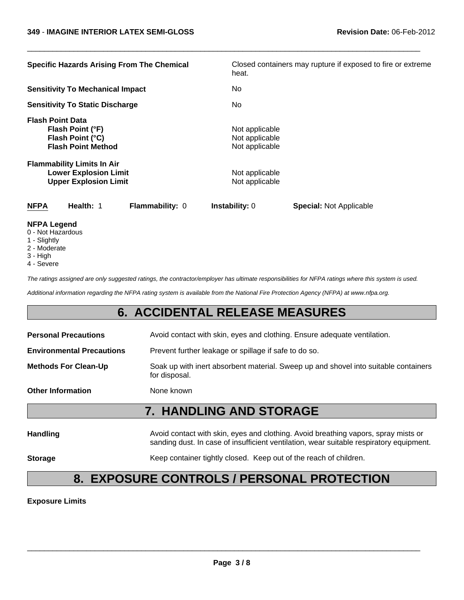| <b>Specific Hazards Arising From The Chemical</b>                                                 | Closed containers may rupture if exposed to fire or extreme<br>heat. |
|---------------------------------------------------------------------------------------------------|----------------------------------------------------------------------|
| <b>Sensitivity To Mechanical Impact</b>                                                           | No                                                                   |
| <b>Sensitivity To Static Discharge</b>                                                            | No                                                                   |
| <b>Flash Point Data</b><br>Flash Point (°F)<br>Flash Point (°C)<br><b>Flash Point Method</b>      | Not applicable<br>Not applicable<br>Not applicable                   |
| <b>Flammability Limits In Air</b><br><b>Lower Explosion Limit</b><br><b>Upper Explosion Limit</b> | Not applicable<br>Not applicable                                     |
| <b>NFPA</b><br>Health: 1<br>Flammability: 0                                                       | Instability: 0<br><b>Special: Not Applicable</b>                     |
| <b>NFPA Legend</b>                                                                                |                                                                      |

 $\Box$ 

- 0 Not Hazardous
- 
- 1 Slightly
- 2 Moderate
- 3 High 4 - Severe

*The ratings assigned are only suggested ratings, the contractor/employer has ultimate responsibilities for NFPA ratings where this system is used.*

*Additional information regarding the NFPA rating system is available from the National Fire Protection Agency (NFPA) at www.nfpa.org.*

# **6. ACCIDENTAL RELEASE MEASURES**

| <b>Personal Precautions</b>      | Avoid contact with skin, eyes and clothing. Ensure adequate ventilation.                                                                                                      |  |
|----------------------------------|-------------------------------------------------------------------------------------------------------------------------------------------------------------------------------|--|
| <b>Environmental Precautions</b> | Prevent further leakage or spillage if safe to do so.                                                                                                                         |  |
| <b>Methods For Clean-Up</b>      | Soak up with inert absorbent material. Sweep up and shovel into suitable containers<br>for disposal.                                                                          |  |
| <b>Other Information</b>         | None known                                                                                                                                                                    |  |
|                                  | <b>7. HANDLING AND STORAGE</b>                                                                                                                                                |  |
| <b>Handling</b>                  | Avoid contact with skin, eyes and clothing. Avoid breathing vapors, spray mists or<br>sanding dust. In case of insufficient ventilation, wear suitable respiratory equipment. |  |

**Storage** Keep container tightly closed. Keep out of the reach of children.

# **8. EXPOSURE CONTROLS / PERSONAL PROTECTION**

**Exposure Limits**

\_\_\_\_\_\_\_\_\_\_\_\_\_\_\_\_\_\_\_\_\_\_\_\_\_\_\_\_\_\_\_\_\_\_\_\_\_\_\_\_\_\_\_\_\_\_\_\_\_\_\_\_\_\_\_\_\_\_\_\_\_\_\_\_\_\_\_\_\_\_\_\_\_\_\_\_\_\_\_\_\_\_\_\_\_\_\_\_\_\_\_\_\_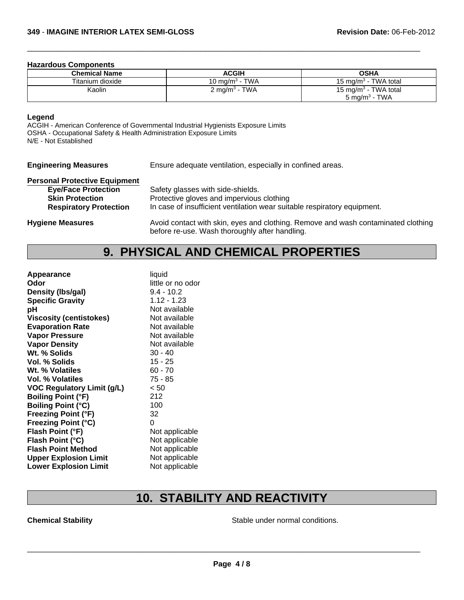#### **Hazardous Components**

| <b>Chemical Name</b> | <b>ACGIH</b>              | OSHA                             |
|----------------------|---------------------------|----------------------------------|
| Titanium dioxide     | 10 mg/m $^3$ - TWA        | 15 mg/m <sup>3</sup> - TWA total |
| Kaolin               | 2 mg/m <sup>3</sup> - TWA | 15 mg/m <sup>3</sup> - TWA total |
|                      |                           | 5 mg/m <sup>3</sup> - TWA        |

 $\Box$ 

### **Legend**

ACGIH - American Conference of Governmental Industrial Hygienists Exposure Limits OSHA - Occupational Safety & Health Administration Exposure Limits N/E - Not Established

| <b>Engineering Measures</b>                                                                                                   | Ensure adequate ventilation, especially in confined areas.                                                                                                 |  |
|-------------------------------------------------------------------------------------------------------------------------------|------------------------------------------------------------------------------------------------------------------------------------------------------------|--|
| <b>Personal Protective Equipment</b><br><b>Eye/Face Protection</b><br><b>Skin Protection</b><br><b>Respiratory Protection</b> | Safety glasses with side-shields.<br>Protective gloves and impervious clothing<br>In case of insufficient ventilation wear suitable respiratory equipment. |  |
| <b>Hygiene Measures</b>                                                                                                       | Avoid contact with skin, eyes and clothing. Remove and wash contaminated clothing<br>before re-use. Wash thoroughly after handling.                        |  |

# **9. PHYSICAL AND CHEMICAL PROPERTIES**

| liquid            |
|-------------------|
| little or no odor |
| $9.4 - 10.2$      |
| $1.12 - 1.23$     |
| Not available     |
| Not available     |
| Not available     |
| Not available     |
| Not available     |
| $30 - 40$         |
| 15 - 25           |
| $60 - 70$         |
| $75 - 85$         |
| < 50              |
| 212               |
| 100               |
| 32                |
| 0                 |
| Not applicable    |
| Not applicable    |
| Not applicable    |
| Not applicable    |
| Not applicable    |
|                   |

# **10. STABILITY AND REACTIVITY**

**Chemical Stability Chemical Stability Stable under normal conditions.**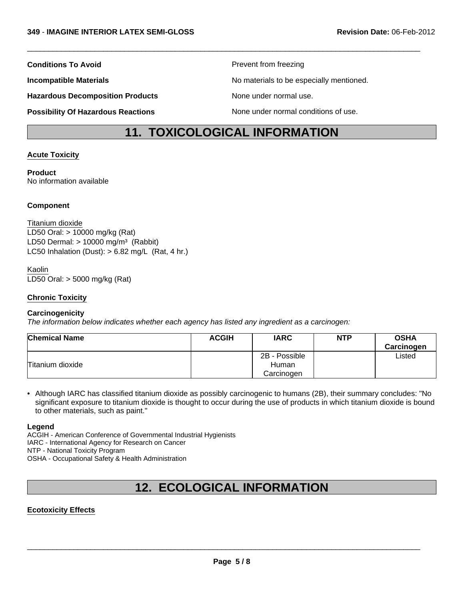Hazardous Decomposition Products **None under normal use**.

**Possibility Of Hazardous Reactions** None under normal conditions of use.

**Conditions To Avoid Prevent from freezing** 

**Incompatible Materials No materials** No materials to be especially mentioned.

# **11. TOXICOLOGICAL INFORMATION**

 $\Box$ 

### **Acute Toxicity**

**Product** No information available

### **Component**

LD50 Dermal:  $> 10000$  mg/m<sup>3</sup> (Rabbit) Titanium dioxide LC50 Inhalation (Dust):  $> 6.82$  mg/L (Rat, 4 hr.) LD50 Oral: > 10000 mg/kg (Rat)

### Kaolin

LD50 Oral: > 5000 mg/kg (Rat)

### **Chronic Toxicity**

#### **Carcinogenicity**

*The information below indicates whether each agency has listed any ingredient as a carcinogen:*

| <b>Chemical Name</b> | <b>ACGIH</b> | <b>IARC</b>                          | <b>NTP</b> | <b>OSHA</b><br>Carcinogen |
|----------------------|--------------|--------------------------------------|------------|---------------------------|
| Titanium dioxide     |              | 2B - Possible<br>Human<br>Carcinogen |            | ∟isted                    |

• Although IARC has classified titanium dioxide as possibly carcinogenic to humans (2B), their summary concludes: "No significant exposure to titanium dioxide is thought to occur during the use of products in which titanium dioxide is bound to other materials, such as paint."

#### **Legend**

ACGIH - American Conference of Governmental Industrial Hygienists IARC - International Agency for Research on Cancer NTP - National Toxicity Program OSHA - Occupational Safety & Health Administration

# **12. ECOLOGICAL INFORMATION**

#### **Ecotoxicity Effects**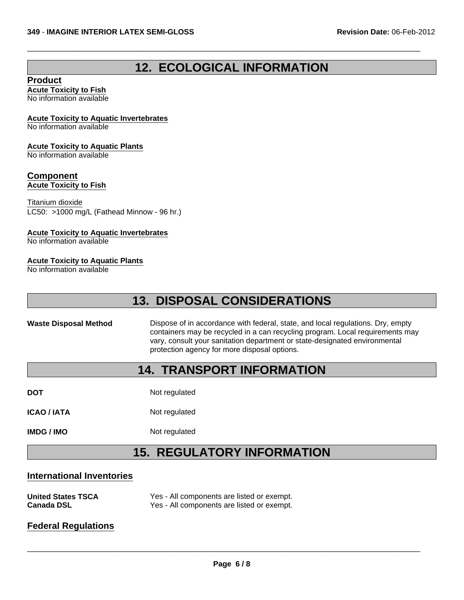# **12. ECOLOGICAL INFORMATION**

 $\Box$ 

### **Product**

**Acute Toxicity to Fish** No information available

#### **Acute Toxicity to Aquatic Invertebrates**

No information available

#### **Acute Toxicity to Aquatic Plants**

No information available

## **Component**

**Acute Toxicity to Fish**

Titanium dioxide LC50: >1000 mg/L (Fathead Minnow - 96 hr.)

#### **Acute Toxicity to Aquatic Invertebrates**

No information available

### **Acute Toxicity to Aquatic Plants**

No information available

# **13. DISPOSAL CONSIDERATIONS**

**Waste Disposal Method** Dispose of in accordance with federal, state, and local regulations. Dry, empty containers may be recycled in a can recycling program. Local requirements may vary, consult your sanitation department or state-designated environmental protection agency for more disposal options.

# **14. TRANSPORT INFORMATION**

**DOT** Not regulated

**ICAO / IATA** Not regulated

**IMDG / IMO** Not regulated

# **15. REGULATORY INFORMATION**

#### **International Inventories**

| <b>United States TSCA</b> | Yes - All components are listed or exempt. |
|---------------------------|--------------------------------------------|
| <b>Canada DSL</b>         | Yes - All components are listed or exempt. |

## **Federal Regulations**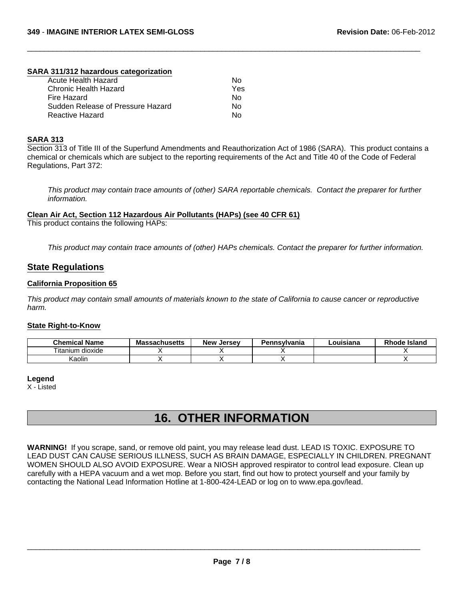#### **SARA 311/312 hazardous categorization**

| Acute Health Hazard               | N٥  |
|-----------------------------------|-----|
| Chronic Health Hazard             | Yes |
| Fire Hazard                       | N٥  |
| Sudden Release of Pressure Hazard | Nο  |
| Reactive Hazard                   | N٥  |

#### **SARA 313**

Section 313 of Title III of the Superfund Amendments and Reauthorization Act of 1986 (SARA). This product contains a chemical or chemicals which are subject to the reporting requirements of the Act and Title 40 of the Code of Federal Regulations, Part 372:

 $\Box$ 

*This product may contain trace amounts of (other) SARA reportable chemicals. Contact the preparer for further information.*

**Clean Air Act, Section 112 Hazardous Air Pollutants (HAPs) (see 40 CFR 61)**

This product contains the following HAPs:

*This product may contain trace amounts of (other) HAPs chemicals. Contact the preparer for further information.*

### **State Regulations**

#### **California Proposition 65**

*This product may contain small amounts of materials known to the state of California to cause cancer or reproductive harm.*

#### **State Right-to-Know**

| <b>Chemical Name</b>     | <b>Massachusetts</b> | New<br>, Jersev | Pennsylvania | ouisiana. | <b>Rhode Island</b> |
|--------------------------|----------------------|-----------------|--------------|-----------|---------------------|
| ÷.<br>itanium<br>dioxide |                      |                 |              |           |                     |
| Kaolin                   |                      |                 |              |           |                     |

#### **Legend**

X - Listed

# **16. OTHER INFORMATION**

**WARNING!** If you scrape, sand, or remove old paint, you may release lead dust. LEAD IS TOXIC. EXPOSURE TO LEAD DUST CAN CAUSE SERIOUS ILLNESS, SUCH AS BRAIN DAMAGE, ESPECIALLY IN CHILDREN. PREGNANT WOMEN SHOULD ALSO AVOID EXPOSURE. Wear a NIOSH approved respirator to control lead exposure. Clean up carefully with a HEPA vacuum and a wet mop. Before you start, find out how to protect yourself and your family by contacting the National Lead Information Hotline at 1-800-424-LEAD or log on to www.epa.gov/lead.

 $\_$  ,  $\_$  ,  $\_$  ,  $\_$  ,  $\_$  ,  $\_$  ,  $\_$  ,  $\_$  ,  $\_$  ,  $\_$  ,  $\_$  ,  $\_$  ,  $\_$  ,  $\_$  ,  $\_$  ,  $\_$  ,  $\_$  ,  $\_$  ,  $\_$  ,  $\_$  ,  $\_$  ,  $\_$  ,  $\_$  ,  $\_$  ,  $\_$  ,  $\_$  ,  $\_$  ,  $\_$  ,  $\_$  ,  $\_$  ,  $\_$  ,  $\_$  ,  $\_$  ,  $\_$  ,  $\_$  ,  $\_$  ,  $\_$  ,